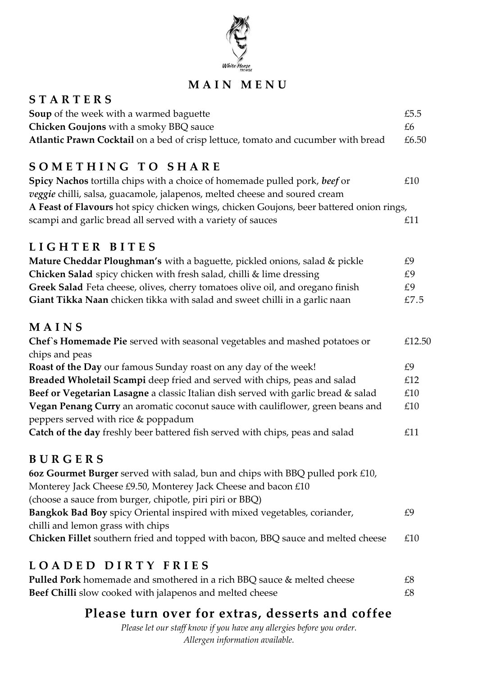

## **M A I N M E N U**

| <b>STARTERS</b>                                                                                                       |        |
|-----------------------------------------------------------------------------------------------------------------------|--------|
| Soup of the week with a warmed baguette                                                                               | £5.5   |
| Chicken Goujons with a smoky BBQ sauce                                                                                | £6     |
| Atlantic Prawn Cocktail on a bed of crisp lettuce, tomato and cucumber with bread                                     | £6.50  |
| SOMETHING TO SHARE                                                                                                    |        |
| Spicy Nachos tortilla chips with a choice of homemade pulled pork, beef or                                            | £10    |
| veggie chilli, salsa, guacamole, jalapenos, melted cheese and soured cream                                            |        |
| A Feast of Flavours hot spicy chicken wings, chicken Goujons, beer battered onion rings,                              |        |
| scampi and garlic bread all served with a variety of sauces                                                           | £11    |
| LIGHTER BITES                                                                                                         |        |
| Mature Cheddar Ploughman's with a baguette, pickled onions, salad & pickle                                            | £9     |
| Chicken Salad spicy chicken with fresh salad, chilli & lime dressing                                                  | £9     |
| Greek Salad Feta cheese, olives, cherry tomatoes olive oil, and oregano finish                                        | £9     |
| Giant Tikka Naan chicken tikka with salad and sweet chilli in a garlic naan                                           | £7.5   |
| MAINS                                                                                                                 |        |
| Chef's Homemade Pie served with seasonal vegetables and mashed potatoes or                                            | £12.50 |
| chips and peas                                                                                                        |        |
| Roast of the Day our famous Sunday roast on any day of the week!                                                      | £9     |
| Breaded Wholetail Scampi deep fried and served with chips, peas and salad                                             | £12    |
| Beef or Vegetarian Lasagne a classic Italian dish served with garlic bread & salad                                    | £10    |
| Vegan Penang Curry an aromatic coconut sauce with cauliflower, green beans and<br>peppers served with rice & poppadum | £10    |
| Catch of the day freshly beer battered fish served with chips, peas and salad                                         | £11    |
| BURGERS                                                                                                               |        |
| 60z Gourmet Burger served with salad, bun and chips with BBQ pulled pork £10,                                         |        |
| Monterey Jack Cheese £9.50, Monterey Jack Cheese and bacon £10                                                        |        |
| (choose a sauce from burger, chipotle, piri piri or BBQ)                                                              |        |
| Bangkok Bad Boy spicy Oriental inspired with mixed vegetables, coriander,                                             | £9     |
| chilli and lemon grass with chips                                                                                     |        |
| Chicken Fillet southern fried and topped with bacon, BBQ sauce and melted cheese                                      | £10    |
| LOADED DIRTY FRIES                                                                                                    |        |

| <b>Pulled Pork</b> homemade and smothered in a rich BBQ sauce & melted cheese | £8 |
|-------------------------------------------------------------------------------|----|
| Beef Chilli slow cooked with jalapenos and melted cheese                      | £8 |

## **Please turn over for extras, desserts and coffee**

*Please let our staff know if you have any allergies before you order. Allergen information available.*